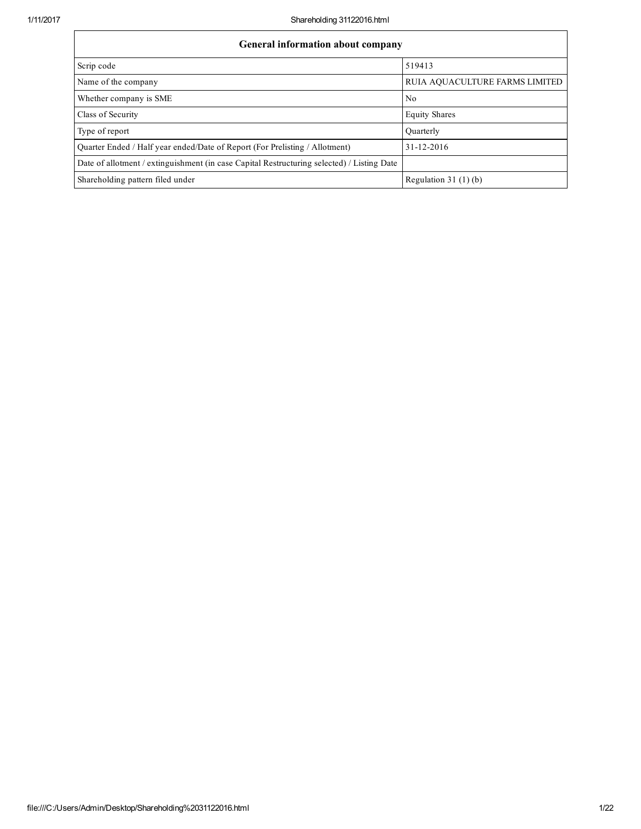| General information about company                                                          |                                |  |  |  |  |  |  |
|--------------------------------------------------------------------------------------------|--------------------------------|--|--|--|--|--|--|
| Scrip code                                                                                 | 519413                         |  |  |  |  |  |  |
| Name of the company                                                                        | RUIA AQUACULTURE FARMS LIMITED |  |  |  |  |  |  |
| Whether company is SME                                                                     | N <sub>0</sub>                 |  |  |  |  |  |  |
| Class of Security                                                                          | <b>Equity Shares</b>           |  |  |  |  |  |  |
| Type of report                                                                             | Ouarterly                      |  |  |  |  |  |  |
| Ouarter Ended / Half year ended/Date of Report (For Prelisting / Allotment)                | $31 - 12 - 2016$               |  |  |  |  |  |  |
| Date of allotment / extinguishment (in case Capital Restructuring selected) / Listing Date |                                |  |  |  |  |  |  |
| Shareholding pattern filed under                                                           | Regulation $31(1)(b)$          |  |  |  |  |  |  |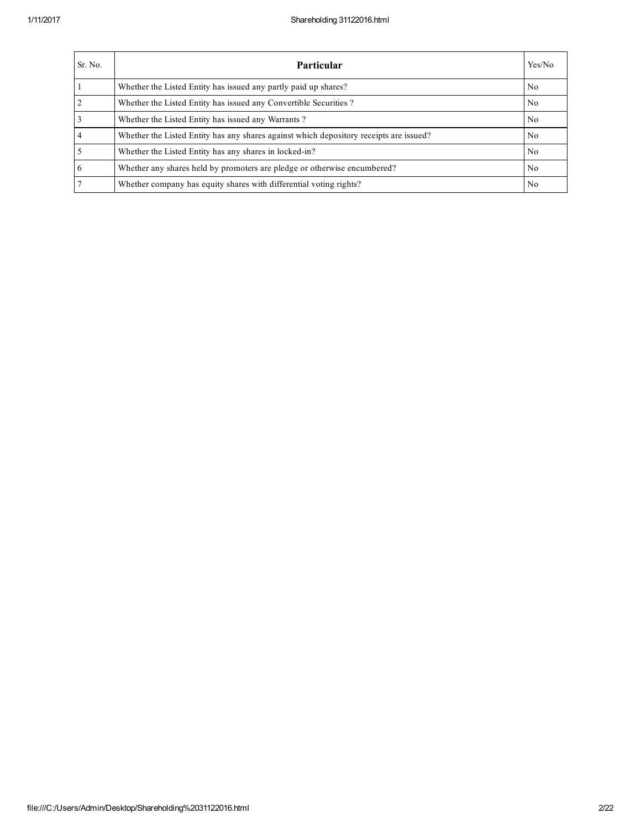| Sr. No.         | <b>Particular</b>                                                                      | Yes/No         |
|-----------------|----------------------------------------------------------------------------------------|----------------|
|                 | Whether the Listed Entity has issued any partly paid up shares?                        | No             |
| <sup>2</sup>    | Whether the Listed Entity has issued any Convertible Securities?                       | N <sub>0</sub> |
| 3               | Whether the Listed Entity has issued any Warrants?                                     | N <sub>0</sub> |
| $\overline{4}$  | Whether the Listed Entity has any shares against which depository receipts are issued? | N <sub>0</sub> |
| 5               | Whether the Listed Entity has any shares in locked-in?                                 | N <sub>0</sub> |
| 6               | Whether any shares held by promoters are pledge or otherwise encumbered?               | N <sub>0</sub> |
| $7\phantom{.0}$ | Whether company has equity shares with differential voting rights?                     | No             |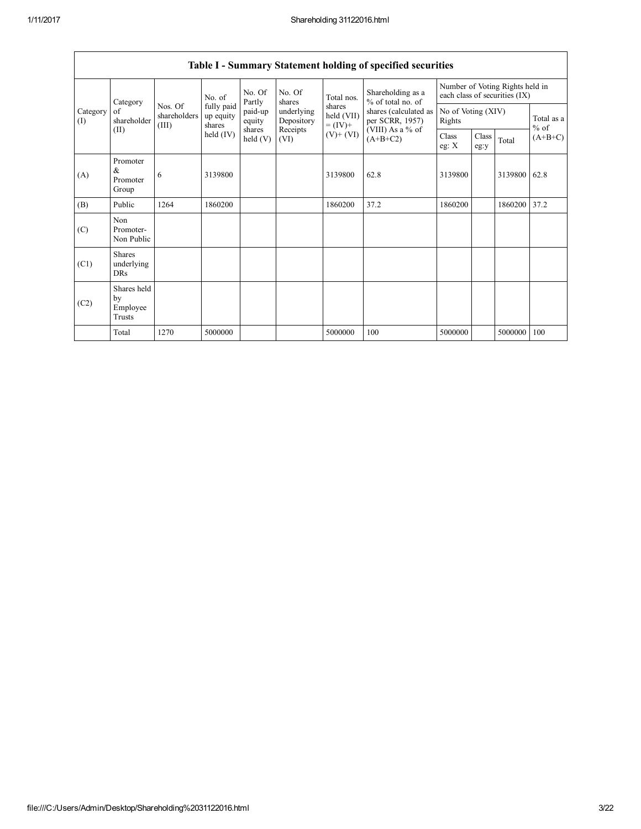|                 | Category                                |                                  | No. of                            | No. Of<br>Partly     | No. Of<br>shares         | Total nos.                         | Shareholding as a<br>% of total no. of   |                  | Number of Voting Rights held in<br>each class of securities (IX) |         |                      |
|-----------------|-----------------------------------------|----------------------------------|-----------------------------------|----------------------|--------------------------|------------------------------------|------------------------------------------|------------------|------------------------------------------------------------------|---------|----------------------|
| Category<br>(I) | of<br>shareholder                       | Nos. Of<br>shareholders<br>(III) | fully paid<br>up equity<br>shares | paid-up<br>equity    | underlying<br>Depository | shares<br>held (VII)<br>$= (IV) +$ | shares (calculated as<br>per SCRR, 1957) | Rights           | No of Voting (XIV)                                               |         | Total as a<br>$%$ of |
|                 | (II)                                    |                                  | held $(IV)$                       | shares<br>held $(V)$ | Receipts<br>(VI)         | $(V)$ + $(VI)$                     | (VIII) As a % of<br>$(A+B+C2)$           | Class<br>eg: $X$ | Class<br>eg:y                                                    | Total   | $(A+B+C)$            |
| (A)             | Promoter<br>$\&$<br>Promoter<br>Group   | 6                                | 3139800                           |                      |                          | 3139800                            | 62.8                                     | 3139800          |                                                                  | 3139800 | 62.8                 |
| (B)             | Public                                  | 1264                             | 1860200                           |                      |                          | 1860200                            | 37.2                                     | 1860200          |                                                                  | 1860200 | 37.2                 |
| (C)             | Non<br>Promoter-<br>Non Public          |                                  |                                   |                      |                          |                                    |                                          |                  |                                                                  |         |                      |
| (C1)            | <b>Shares</b><br>underlying<br>DRs      |                                  |                                   |                      |                          |                                    |                                          |                  |                                                                  |         |                      |
| (C2)            | Shares held<br>by<br>Employee<br>Trusts |                                  |                                   |                      |                          |                                    |                                          |                  |                                                                  |         |                      |
|                 | Total                                   | 1270                             | 5000000                           |                      |                          | 5000000                            | 100                                      | 5000000          |                                                                  | 5000000 | 100                  |

Table I - Summary Statement holding of specified securities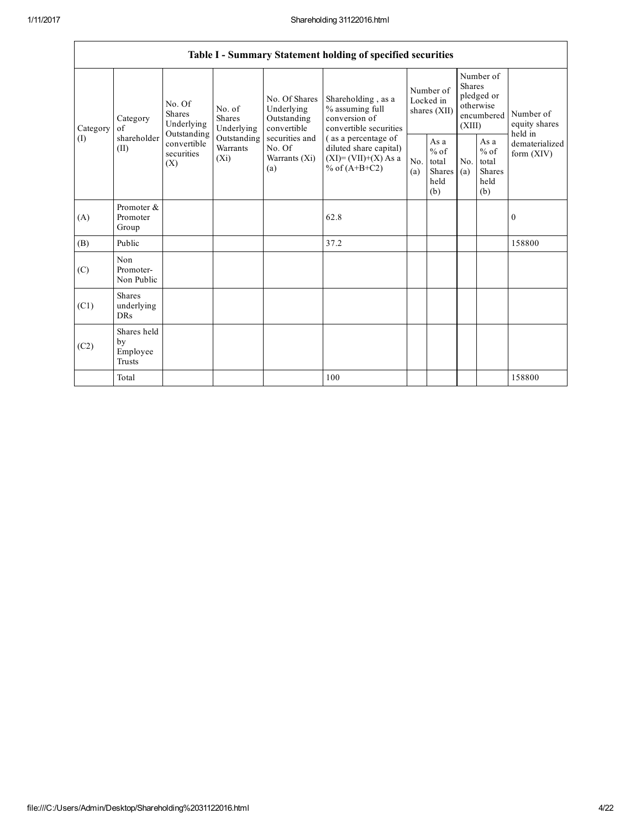| Table I - Summary Statement holding of specified securities |                                                                  |                                       |                                                                                        |                                                                                  |                                                                                           |            |                                                                        |            |                                                  |                                |  |
|-------------------------------------------------------------|------------------------------------------------------------------|---------------------------------------|----------------------------------------------------------------------------------------|----------------------------------------------------------------------------------|-------------------------------------------------------------------------------------------|------------|------------------------------------------------------------------------|------------|--------------------------------------------------|--------------------------------|--|
| Category<br>of<br>(I)<br>(II)                               | No. Of<br><b>Shares</b><br>Category<br>Underlying<br>Outstanding | No. of<br><b>Shares</b><br>Underlying | No. Of Shares<br>Underlying<br>Outstanding<br>convertible                              | Shareholding, as a<br>% assuming full<br>conversion of<br>convertible securities | Number of<br>Locked in<br>shares (XII)                                                    |            | Number of<br>Shares<br>pledged or<br>otherwise<br>encumbered<br>(XIII) |            | Number of<br>equity shares<br>held in            |                                |  |
|                                                             | shareholder                                                      | convertible<br>securities<br>(X)      | Outstanding<br>securities and<br>No. Of<br>Warrants<br>$(X_i)$<br>Warrants (Xi)<br>(a) |                                                                                  | (as a percentage of<br>diluted share capital)<br>$(XI)=(VII)+(X) As a$<br>% of $(A+B+C2)$ | No.<br>(a) | As a<br>$%$ of<br>total<br>Shares<br>held<br>(b)                       | No.<br>(a) | As a<br>$%$ of<br>total<br>Shares<br>held<br>(b) | dematerialized<br>form $(XIV)$ |  |
| (A)                                                         | Promoter &<br>Promoter<br>Group                                  |                                       |                                                                                        |                                                                                  | 62.8                                                                                      |            |                                                                        |            |                                                  | $\mathbf{0}$                   |  |
| (B)                                                         | Public                                                           |                                       |                                                                                        |                                                                                  | 37.2                                                                                      |            |                                                                        |            |                                                  | 158800                         |  |
| (C)                                                         | Non<br>Promoter-<br>Non Public                                   |                                       |                                                                                        |                                                                                  |                                                                                           |            |                                                                        |            |                                                  |                                |  |
| (C1)                                                        | <b>Shares</b><br>underlying<br><b>DRs</b>                        |                                       |                                                                                        |                                                                                  |                                                                                           |            |                                                                        |            |                                                  |                                |  |
| (C2)                                                        | Shares held<br>by<br>Employee<br>Trusts                          |                                       |                                                                                        |                                                                                  |                                                                                           |            |                                                                        |            |                                                  |                                |  |
|                                                             | Total                                                            |                                       |                                                                                        |                                                                                  | 100                                                                                       |            |                                                                        |            |                                                  | 158800                         |  |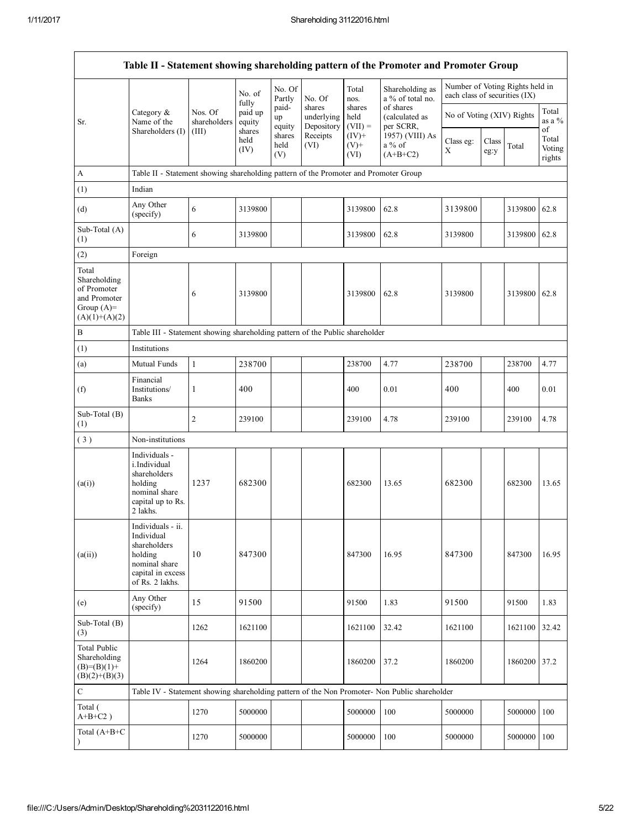|                                                                                         |                                                                                                                     |                         |                        |                       |                                    |                                                                         | Table II - Statement showing shareholding pattern of the Promoter and Promoter Group          |                                                                  |               |         |                           |
|-----------------------------------------------------------------------------------------|---------------------------------------------------------------------------------------------------------------------|-------------------------|------------------------|-----------------------|------------------------------------|-------------------------------------------------------------------------|-----------------------------------------------------------------------------------------------|------------------------------------------------------------------|---------------|---------|---------------------------|
|                                                                                         |                                                                                                                     |                         | No. of<br>fully        | No. Of<br>Partly      | No. Of                             | Total<br>nos.                                                           | Shareholding as<br>a % of total no.                                                           | Number of Voting Rights held in<br>each class of securities (IX) |               |         |                           |
| Sr.                                                                                     | Category $\&$<br>Name of the                                                                                        | Nos. Of<br>shareholders | paid up<br>equity      | paid-<br>up<br>equity | shares<br>underlying<br>Depository | of shares<br>shares<br>held<br>(calculated as<br>$(VII) =$<br>per SCRR, |                                                                                               | No of Voting (XIV) Rights                                        |               |         | Total<br>as a %<br>of     |
|                                                                                         | Shareholders (I)                                                                                                    | (III)                   | shares<br>held<br>(IV) | shares<br>held<br>(V) | Receipts<br>(VI)                   | $(IV)+$<br>$(V)$ +<br>(VI)                                              | 1957) (VIII) As<br>$a\%$ of<br>$(A+B+C2)$                                                     | Class eg:<br>Χ                                                   | Class<br>eg:y | Total   | Total<br>Voting<br>rights |
| $\mathbf{A}$                                                                            | Table II - Statement showing shareholding pattern of the Promoter and Promoter Group                                |                         |                        |                       |                                    |                                                                         |                                                                                               |                                                                  |               |         |                           |
| (1)                                                                                     | Indian                                                                                                              |                         |                        |                       |                                    |                                                                         |                                                                                               |                                                                  |               |         |                           |
| (d)                                                                                     | Any Other<br>(specify)                                                                                              | 6                       | 3139800                |                       |                                    | 3139800                                                                 | 62.8                                                                                          | 3139800                                                          |               | 3139800 | 62.8                      |
| Sub-Total (A)<br>(1)                                                                    |                                                                                                                     | 6                       | 3139800                |                       |                                    | 3139800                                                                 | 62.8                                                                                          | 3139800                                                          |               | 3139800 | 62.8                      |
| (2)                                                                                     | Foreign                                                                                                             |                         |                        |                       |                                    |                                                                         |                                                                                               |                                                                  |               |         |                           |
| Total<br>Shareholding<br>of Promoter<br>and Promoter<br>Group $(A)=$<br>$(A)(1)+(A)(2)$ |                                                                                                                     | 6                       | 3139800                |                       |                                    | 3139800                                                                 | 62.8                                                                                          | 3139800                                                          |               | 3139800 | 62.8                      |
| $\, {\bf B}$                                                                            | Table III - Statement showing shareholding pattern of the Public shareholder                                        |                         |                        |                       |                                    |                                                                         |                                                                                               |                                                                  |               |         |                           |
| (1)                                                                                     | Institutions                                                                                                        |                         |                        |                       |                                    |                                                                         |                                                                                               |                                                                  |               |         |                           |
| (a)                                                                                     | Mutual Funds                                                                                                        | $\mathbf{1}$            | 238700                 |                       |                                    | 238700                                                                  | 4.77                                                                                          | 238700                                                           |               | 238700  | 4.77                      |
| (f)                                                                                     | Financial<br>Institutions/<br><b>Banks</b>                                                                          | 1                       | 400                    |                       |                                    | 400                                                                     | 0.01                                                                                          | 400                                                              |               | 400     | 0.01                      |
| Sub-Total (B)<br>(1)                                                                    |                                                                                                                     | $\overline{c}$          | 239100                 |                       |                                    | 239100                                                                  | 4.78                                                                                          | 239100                                                           |               | 239100  | 4.78                      |
| (3)                                                                                     | Non-institutions                                                                                                    |                         |                        |                       |                                    |                                                                         |                                                                                               |                                                                  |               |         |                           |
| (a(i))                                                                                  | Individuals -<br>i.Individual<br>shareholders<br>holding<br>nominal share<br>capital up to Rs.<br>2 lakhs.          | 1237                    | 682300                 |                       |                                    | 682300                                                                  | 13.65                                                                                         | 682300                                                           |               | 682300  | 13.65                     |
| (a(ii))                                                                                 | Individuals - ii.<br>Individual<br>shareholders<br>holding<br>nominal share<br>capital in excess<br>of Rs. 2 lakhs. | 10                      | 847300                 |                       |                                    | 847300                                                                  | 16.95                                                                                         | 847300                                                           |               | 847300  | 16.95                     |
| (e)                                                                                     | Any Other<br>(specify)                                                                                              | 15                      | 91500                  |                       |                                    | 91500                                                                   | 1.83                                                                                          | 91500                                                            |               | 91500   | 1.83                      |
| Sub-Total (B)<br>(3)                                                                    |                                                                                                                     | 1262                    | 1621100                |                       |                                    | 1621100                                                                 | 32.42                                                                                         | 1621100                                                          |               | 1621100 | 32.42                     |
| <b>Total Public</b><br>Shareholding<br>$(B)=(B)(1)+$<br>$(B)(2)+(B)(3)$                 |                                                                                                                     | 1264                    | 1860200                |                       |                                    | 1860200                                                                 | 37.2                                                                                          | 1860200                                                          |               | 1860200 | 37.2                      |
| ${\bf C}$                                                                               |                                                                                                                     |                         |                        |                       |                                    |                                                                         | Table IV - Statement showing shareholding pattern of the Non Promoter- Non Public shareholder |                                                                  |               |         |                           |
| Total (<br>$A+B+C2$ )                                                                   |                                                                                                                     | 1270                    | 5000000                |                       |                                    | 5000000                                                                 | 100                                                                                           | 5000000                                                          |               | 5000000 | 100                       |
| Total (A+B+C                                                                            |                                                                                                                     | 1270                    | 5000000                |                       |                                    | 5000000                                                                 | 100                                                                                           | 5000000                                                          |               | 5000000 | 100                       |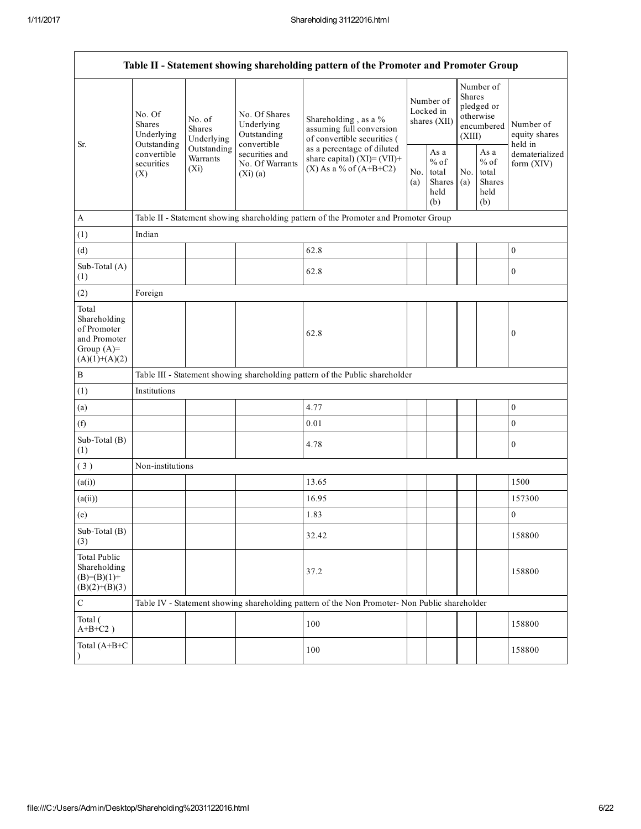| Table II - Statement showing shareholding pattern of the Promoter and Promoter Group    |                                                                                                                                                      |            |                                                                                          |                                                                                               |                                                  |            |                                                                               |  |                                                                       |
|-----------------------------------------------------------------------------------------|------------------------------------------------------------------------------------------------------------------------------------------------------|------------|------------------------------------------------------------------------------------------|-----------------------------------------------------------------------------------------------|--------------------------------------------------|------------|-------------------------------------------------------------------------------|--|-----------------------------------------------------------------------|
| Sr.                                                                                     | No. Of<br>No. of<br><b>Shares</b><br>Shares<br>Underlying                                                                                            | Underlying | No. Of Shares<br>Underlying<br>Outstanding                                               | Shareholding, as a %<br>assuming full conversion<br>of convertible securities (               | Number of<br>Locked in<br>shares (XII)           |            | Number of<br><b>Shares</b><br>pledged or<br>otherwise<br>encumbered<br>(XIII) |  | Number of<br>equity shares<br>held in<br>dematerialized<br>form (XIV) |
|                                                                                         | convertible<br>Outstanding<br>Outstanding<br>convertible<br>securities and<br>Warrants<br>securities<br>No. Of Warrants<br>$(X_i)$<br>(X)<br>(Xi)(a) |            | as a percentage of diluted<br>share capital) $(XI)=(VII)+$<br>$(X)$ As a % of $(A+B+C2)$ | No.<br>(a)                                                                                    | As a<br>$%$ of<br>total<br>Shares<br>held<br>(b) | No.<br>(a) | As a<br>$%$ of<br>total<br><b>Shares</b><br>held<br>(b)                       |  |                                                                       |
| $\boldsymbol{A}$                                                                        |                                                                                                                                                      |            |                                                                                          | Table II - Statement showing shareholding pattern of the Promoter and Promoter Group          |                                                  |            |                                                                               |  |                                                                       |
| (1)                                                                                     | Indian                                                                                                                                               |            |                                                                                          |                                                                                               |                                                  |            |                                                                               |  |                                                                       |
| (d)                                                                                     |                                                                                                                                                      |            |                                                                                          | 62.8                                                                                          |                                                  |            |                                                                               |  | $\boldsymbol{0}$                                                      |
| Sub-Total (A)<br>(1)                                                                    |                                                                                                                                                      |            |                                                                                          | 62.8                                                                                          |                                                  |            |                                                                               |  | $\boldsymbol{0}$                                                      |
| (2)                                                                                     | Foreign                                                                                                                                              |            |                                                                                          |                                                                                               |                                                  |            |                                                                               |  |                                                                       |
| Total<br>Shareholding<br>of Promoter<br>and Promoter<br>Group $(A)=$<br>$(A)(1)+(A)(2)$ |                                                                                                                                                      |            |                                                                                          | 62.8                                                                                          |                                                  |            |                                                                               |  | 0                                                                     |
| $\bf{B}$                                                                                |                                                                                                                                                      |            |                                                                                          | Table III - Statement showing shareholding pattern of the Public shareholder                  |                                                  |            |                                                                               |  |                                                                       |
| (1)                                                                                     | Institutions                                                                                                                                         |            |                                                                                          |                                                                                               |                                                  |            |                                                                               |  |                                                                       |
| (a)                                                                                     |                                                                                                                                                      |            |                                                                                          | 4.77                                                                                          |                                                  |            |                                                                               |  | $\boldsymbol{0}$                                                      |
| (f)                                                                                     |                                                                                                                                                      |            |                                                                                          | 0.01                                                                                          |                                                  |            |                                                                               |  | $\boldsymbol{0}$                                                      |
| Sub-Total (B)<br>(1)                                                                    |                                                                                                                                                      |            |                                                                                          | 4.78                                                                                          |                                                  |            |                                                                               |  | $\boldsymbol{0}$                                                      |
| (3)                                                                                     | Non-institutions                                                                                                                                     |            |                                                                                          |                                                                                               |                                                  |            |                                                                               |  |                                                                       |
| (a(i))                                                                                  |                                                                                                                                                      |            |                                                                                          | 13.65                                                                                         |                                                  |            |                                                                               |  | 1500                                                                  |
| (a(ii))                                                                                 |                                                                                                                                                      |            |                                                                                          | 16.95                                                                                         |                                                  |            |                                                                               |  | 157300                                                                |
| (e)                                                                                     |                                                                                                                                                      |            |                                                                                          | 1.83                                                                                          |                                                  |            |                                                                               |  | $\mathbf{0}$                                                          |
| Sub-Total (B)<br>(3)                                                                    |                                                                                                                                                      |            |                                                                                          | 32.42                                                                                         |                                                  |            |                                                                               |  | 158800                                                                |
| <b>Total Public</b><br>Shareholding<br>$(B)= (B)(1) +$<br>$(B)(2)+(B)(3)$               |                                                                                                                                                      |            |                                                                                          | 37.2                                                                                          |                                                  |            |                                                                               |  | 158800                                                                |
| $\mathsf C$                                                                             |                                                                                                                                                      |            |                                                                                          | Table IV - Statement showing shareholding pattern of the Non Promoter- Non Public shareholder |                                                  |            |                                                                               |  |                                                                       |
| Total (<br>$A+B+C2$ )                                                                   |                                                                                                                                                      |            |                                                                                          | 100                                                                                           |                                                  |            |                                                                               |  | 158800                                                                |
| Total (A+B+C<br>$\lambda$                                                               |                                                                                                                                                      |            |                                                                                          | 100                                                                                           |                                                  |            |                                                                               |  | 158800                                                                |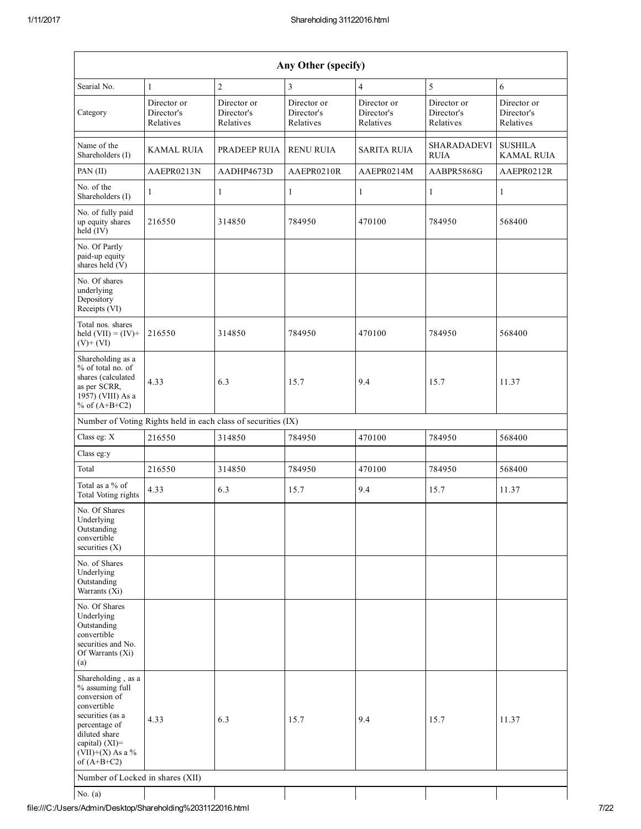| Any Other (specify)                                                                                                                                                                     |                                        |                                                               |                                        |                                        |                                        |                                        |  |  |
|-----------------------------------------------------------------------------------------------------------------------------------------------------------------------------------------|----------------------------------------|---------------------------------------------------------------|----------------------------------------|----------------------------------------|----------------------------------------|----------------------------------------|--|--|
| Searial No.                                                                                                                                                                             | $\mathbf{1}$                           | $\overline{c}$                                                | 3                                      | $\overline{4}$                         | 5                                      | 6                                      |  |  |
| Category                                                                                                                                                                                | Director or<br>Director's<br>Relatives | Director or<br>Director's<br>Relatives                        | Director or<br>Director's<br>Relatives | Director or<br>Director's<br>Relatives | Director or<br>Director's<br>Relatives | Director or<br>Director's<br>Relatives |  |  |
| Name of the<br>Shareholders (I)                                                                                                                                                         | KAMAL RUIA                             | PRADEEP RUIA                                                  | <b>RENU RUIA</b>                       | <b>SARITA RUIA</b>                     | <b>SHARADADEVI</b><br><b>RUIA</b>      | <b>SUSHILA</b><br><b>KAMAL RUIA</b>    |  |  |
| PAN (II)                                                                                                                                                                                | AAEPR0213N                             | AADHP4673D                                                    | AAEPR0210R                             | AAEPR0214M                             | AABPR5868G                             | AAEPR0212R                             |  |  |
| No. of the<br>Shareholders (I)                                                                                                                                                          | $\mathbf{1}$                           | $\mathbf{1}$                                                  | $\mathbf{1}$                           | $\mathbf{1}$                           | $\mathbf{1}$                           | 1                                      |  |  |
| No. of fully paid<br>up equity shares<br>$held$ (IV)                                                                                                                                    | 216550                                 | 314850                                                        | 784950                                 | 470100                                 | 784950                                 | 568400                                 |  |  |
| No. Of Partly<br>paid-up equity<br>shares held (V)                                                                                                                                      |                                        |                                                               |                                        |                                        |                                        |                                        |  |  |
| No. Of shares<br>underlying<br>Depository<br>Receipts (VI)                                                                                                                              |                                        |                                                               |                                        |                                        |                                        |                                        |  |  |
| Total nos. shares<br>held $(VII) = (IV) +$<br>$(V)+(VI)$                                                                                                                                | 216550                                 | 314850                                                        | 784950                                 | 470100                                 | 784950                                 | 568400                                 |  |  |
| Shareholding as a<br>% of total no. of<br>shares (calculated<br>as per SCRR,<br>1957) (VIII) As a<br>% of $(A+B+C2)$                                                                    | 4.33                                   | 6.3                                                           | 15.7                                   | 9.4                                    | 15.7                                   | 11.37                                  |  |  |
|                                                                                                                                                                                         |                                        | Number of Voting Rights held in each class of securities (IX) |                                        |                                        |                                        |                                        |  |  |
| Class eg: X                                                                                                                                                                             | 216550                                 | 314850                                                        | 784950                                 | 470100                                 | 784950                                 | 568400                                 |  |  |
| Class eg:y                                                                                                                                                                              |                                        |                                                               |                                        |                                        |                                        |                                        |  |  |
| Total                                                                                                                                                                                   | 216550                                 | 314850                                                        | 784950                                 | 470100                                 | 784950                                 | 568400                                 |  |  |
| Total as a % of<br>Total Voting rights                                                                                                                                                  | 4.33                                   | 6.3                                                           | 15.7                                   | 9.4                                    | 15.7                                   | 11.37                                  |  |  |
| No. Of Shares<br>Underlying<br>Outstanding<br>convertible<br>securities $(X)$                                                                                                           |                                        |                                                               |                                        |                                        |                                        |                                        |  |  |
| No. of Shares<br>Underlying<br>Outstanding<br>Warrants (Xi)                                                                                                                             |                                        |                                                               |                                        |                                        |                                        |                                        |  |  |
| No. Of Shares<br>Underlying<br>Outstanding<br>convertible<br>securities and No.<br>Of Warrants (Xi)<br>(a)                                                                              |                                        |                                                               |                                        |                                        |                                        |                                        |  |  |
| Shareholding, as a<br>% assuming full<br>conversion of<br>convertible<br>securities (as a<br>percentage of<br>diluted share<br>capital) $(XI)$ =<br>$(VII)+(X)$ As a %<br>of $(A+B+C2)$ | 4.33                                   | 6.3                                                           | 15.7                                   | 9.4                                    | 15.7                                   | 11.37                                  |  |  |
| Number of Locked in shares (XII)                                                                                                                                                        |                                        |                                                               |                                        |                                        |                                        |                                        |  |  |
| No. $(a)$                                                                                                                                                                               |                                        |                                                               |                                        |                                        |                                        |                                        |  |  |

file:///C:/Users/Admin/Desktop/Shareholding%2031122016.html 7/22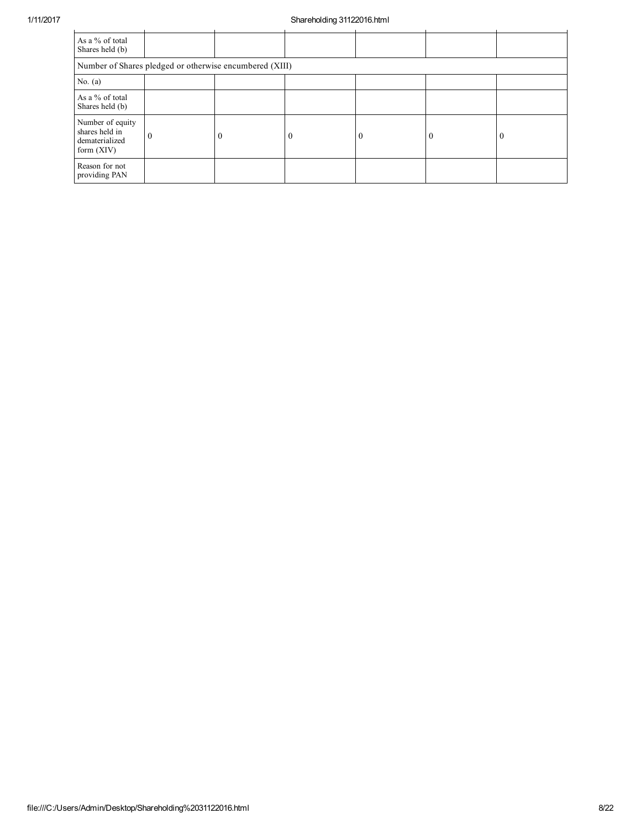## 1/11/2017 Shareholding 31122016.html

| As a % of total<br>Shares held (b)                                   |          |  |  |          |  |  |  |  |  |
|----------------------------------------------------------------------|----------|--|--|----------|--|--|--|--|--|
| Number of Shares pledged or otherwise encumbered (XIII)              |          |  |  |          |  |  |  |  |  |
| No. $(a)$                                                            |          |  |  |          |  |  |  |  |  |
| As a % of total<br>Shares held (b)                                   |          |  |  |          |  |  |  |  |  |
| Number of equity<br>shares held in<br>dematerialized<br>form $(XIV)$ | $\theta$ |  |  | $\theta$ |  |  |  |  |  |
| Reason for not<br>providing PAN                                      |          |  |  |          |  |  |  |  |  |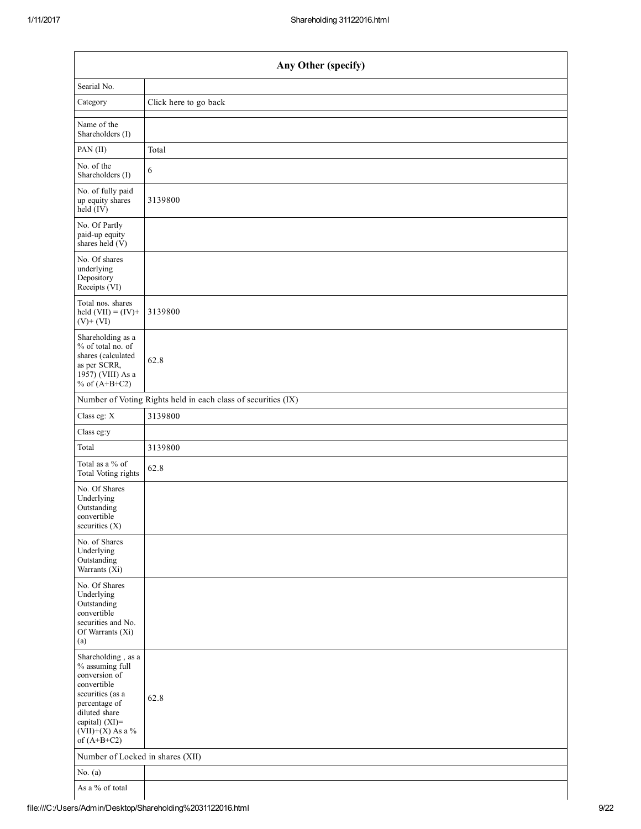| Any Other (specify)                                                                                                                                                                  |                                                               |  |  |  |  |  |
|--------------------------------------------------------------------------------------------------------------------------------------------------------------------------------------|---------------------------------------------------------------|--|--|--|--|--|
| Searial No.                                                                                                                                                                          |                                                               |  |  |  |  |  |
| Category                                                                                                                                                                             | Click here to go back                                         |  |  |  |  |  |
| Name of the<br>Shareholders (I)                                                                                                                                                      |                                                               |  |  |  |  |  |
| PAN (II)                                                                                                                                                                             | Total                                                         |  |  |  |  |  |
| No. of the<br>Shareholders (I)                                                                                                                                                       | 6                                                             |  |  |  |  |  |
| No. of fully paid<br>up equity shares<br>held (IV)                                                                                                                                   | 3139800                                                       |  |  |  |  |  |
| No. Of Partly<br>paid-up equity<br>shares held $(V)$                                                                                                                                 |                                                               |  |  |  |  |  |
| No. Of shares<br>underlying<br>Depository<br>Receipts (VI)                                                                                                                           |                                                               |  |  |  |  |  |
| Total nos. shares<br>held $(VII) = (IV) +$<br>$(V)+(VI)$                                                                                                                             | 3139800                                                       |  |  |  |  |  |
| Shareholding as a<br>% of total no. of<br>shares (calculated<br>as per SCRR,<br>1957) (VIII) As a<br>% of $(A+B+C2)$                                                                 | 62.8                                                          |  |  |  |  |  |
|                                                                                                                                                                                      | Number of Voting Rights held in each class of securities (IX) |  |  |  |  |  |
| Class eg: X                                                                                                                                                                          | 3139800                                                       |  |  |  |  |  |
| Class eg:y                                                                                                                                                                           |                                                               |  |  |  |  |  |
| Total                                                                                                                                                                                | 3139800                                                       |  |  |  |  |  |
| Total as a % of<br>Total Voting rights                                                                                                                                               | 62.8                                                          |  |  |  |  |  |
| No. Of Shares<br>Underlying<br>Outstanding<br>convertible<br>securities $(X)$                                                                                                        |                                                               |  |  |  |  |  |
| No. of Shares<br>Underlying<br>Outstanding<br>Warrants (Xi)                                                                                                                          |                                                               |  |  |  |  |  |
| No. Of Shares<br>Underlying<br>Outstanding<br>convertible<br>securities and No.<br>Of Warrants (Xi)<br>(a)                                                                           |                                                               |  |  |  |  |  |
| Shareholding, as a<br>% assuming full<br>conversion of<br>convertible<br>securities (as a<br>percentage of<br>diluted share<br>capital) (XI)=<br>$(VII)+(X)$ As a %<br>of $(A+B+C2)$ | 62.8                                                          |  |  |  |  |  |
| Number of Locked in shares (XII)                                                                                                                                                     |                                                               |  |  |  |  |  |
| No. $(a)$                                                                                                                                                                            |                                                               |  |  |  |  |  |
| As a % of total                                                                                                                                                                      |                                                               |  |  |  |  |  |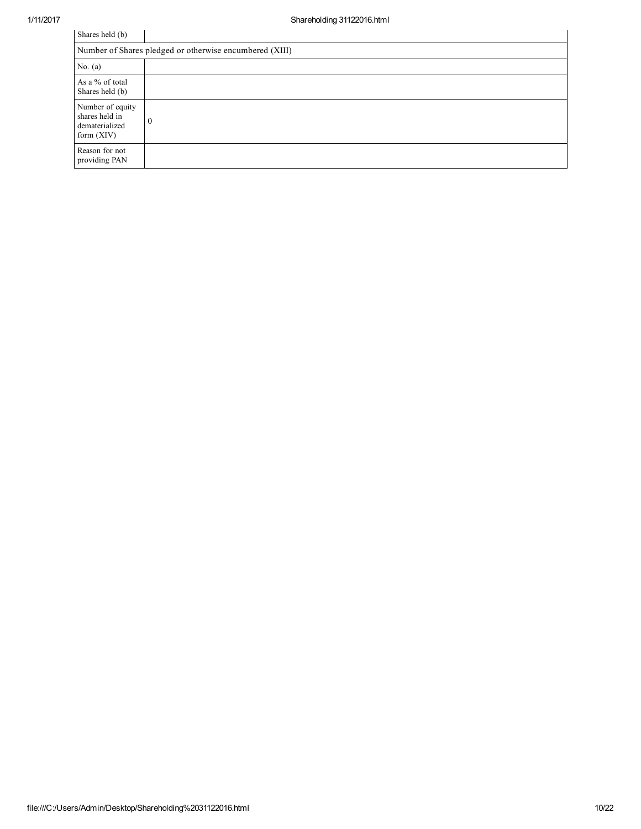| Shares held (b)                                                      |          |  |  |  |  |  |  |  |
|----------------------------------------------------------------------|----------|--|--|--|--|--|--|--|
| Number of Shares pledged or otherwise encumbered (XIII)              |          |  |  |  |  |  |  |  |
| No. $(a)$                                                            |          |  |  |  |  |  |  |  |
| As a % of total<br>Shares held (b)                                   |          |  |  |  |  |  |  |  |
| Number of equity<br>shares held in<br>dematerialized<br>form $(XIV)$ | $\theta$ |  |  |  |  |  |  |  |
| Reason for not<br>providing PAN                                      |          |  |  |  |  |  |  |  |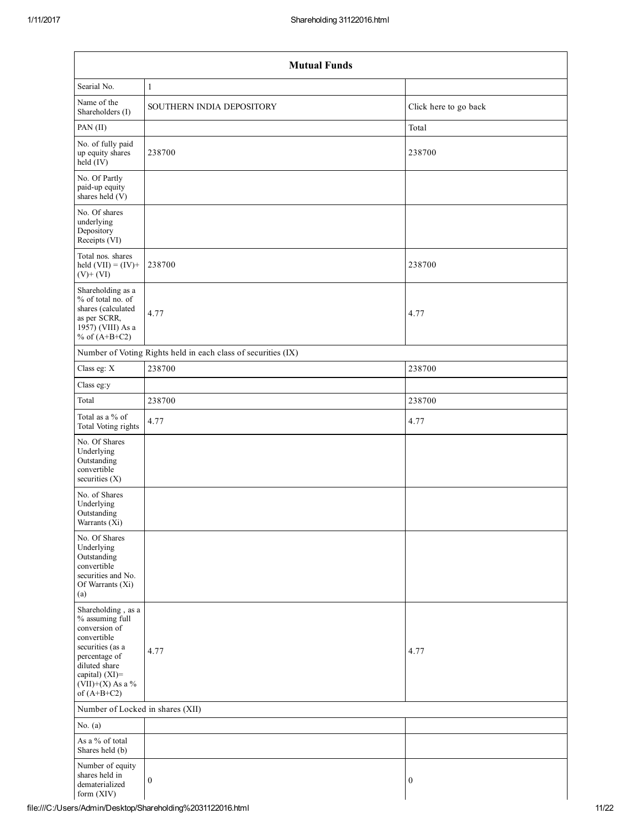| <b>Mutual Funds</b>                                                                                                                                                                  |                                                               |                       |  |  |  |  |  |  |  |
|--------------------------------------------------------------------------------------------------------------------------------------------------------------------------------------|---------------------------------------------------------------|-----------------------|--|--|--|--|--|--|--|
| Searial No.                                                                                                                                                                          | $\mathbf{1}$                                                  |                       |  |  |  |  |  |  |  |
| Name of the<br>Shareholders (I)                                                                                                                                                      | SOUTHERN INDIA DEPOSITORY                                     | Click here to go back |  |  |  |  |  |  |  |
| PAN (II)                                                                                                                                                                             | Total                                                         |                       |  |  |  |  |  |  |  |
| No. of fully paid<br>up equity shares<br>held (IV)                                                                                                                                   | 238700                                                        | 238700                |  |  |  |  |  |  |  |
| No. Of Partly<br>paid-up equity<br>shares held (V)                                                                                                                                   |                                                               |                       |  |  |  |  |  |  |  |
| No. Of shares<br>underlying<br>Depository<br>Receipts (VI)                                                                                                                           |                                                               |                       |  |  |  |  |  |  |  |
| Total nos. shares<br>held $(VII) = (IV) +$<br>$(V) + (VI)$                                                                                                                           | 238700                                                        | 238700                |  |  |  |  |  |  |  |
| Shareholding as a<br>% of total no. of<br>shares (calculated<br>as per SCRR,<br>1957) (VIII) As a<br>% of $(A+B+C2)$                                                                 | 4.77                                                          | 4.77                  |  |  |  |  |  |  |  |
|                                                                                                                                                                                      | Number of Voting Rights held in each class of securities (IX) |                       |  |  |  |  |  |  |  |
| Class eg: X                                                                                                                                                                          | 238700                                                        | 238700                |  |  |  |  |  |  |  |
| Class eg:y                                                                                                                                                                           |                                                               |                       |  |  |  |  |  |  |  |
| Total                                                                                                                                                                                | 238700                                                        | 238700                |  |  |  |  |  |  |  |
| Total as a % of<br>Total Voting rights                                                                                                                                               | 4.77                                                          | 4.77                  |  |  |  |  |  |  |  |
| No. Of Shares<br>Underlying<br>Outstanding<br>convertible<br>securities $(X)$                                                                                                        |                                                               |                       |  |  |  |  |  |  |  |
| No. of Shares<br>Underlying<br>Outstanding<br>Warrants (Xi)                                                                                                                          |                                                               |                       |  |  |  |  |  |  |  |
| No. Of Shares<br>Underlying<br>Outstanding<br>convertible<br>securities and No.<br>Of Warrants (Xi)<br>(a)                                                                           |                                                               |                       |  |  |  |  |  |  |  |
| Shareholding, as a<br>% assuming full<br>conversion of<br>convertible<br>securities (as a<br>percentage of<br>diluted share<br>capital) (XI)=<br>$(VII)+(X)$ As a %<br>of $(A+B+C2)$ | 4.77                                                          | 4.77                  |  |  |  |  |  |  |  |
|                                                                                                                                                                                      | Number of Locked in shares (XII)                              |                       |  |  |  |  |  |  |  |
| No. $(a)$                                                                                                                                                                            |                                                               |                       |  |  |  |  |  |  |  |
| As a % of total<br>Shares held (b)                                                                                                                                                   |                                                               |                       |  |  |  |  |  |  |  |
| Number of equity<br>shares held in<br>dematerialized<br>form $(XIV)$                                                                                                                 | $\boldsymbol{0}$                                              | $\boldsymbol{0}$      |  |  |  |  |  |  |  |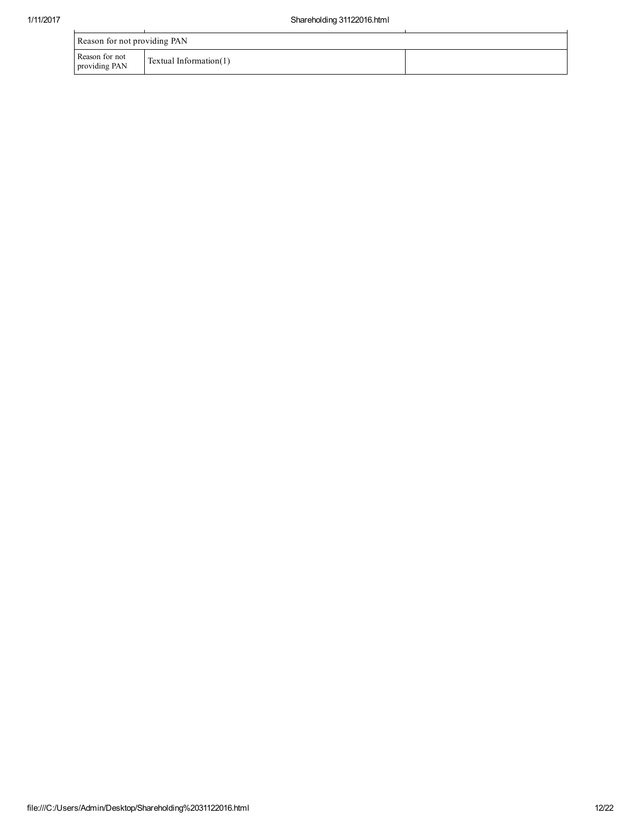| Reason for not providing PAN    |                           |  |
|---------------------------------|---------------------------|--|
| Reason for not<br>providing PAN | Textual Information $(1)$ |  |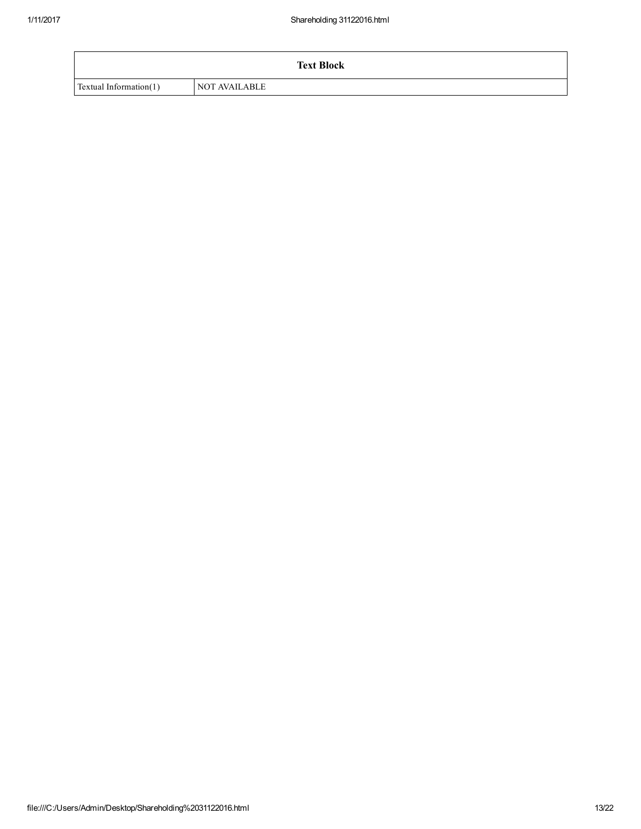|                        | <b>Text Block</b> |
|------------------------|-------------------|
| Textual Information(1) | NOT AVAILABLE     |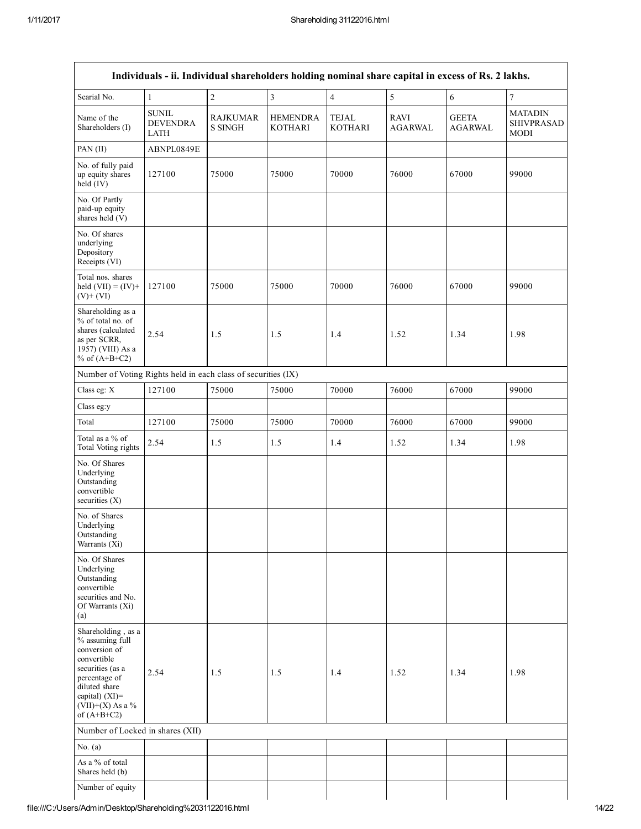$\mathbf{r}$ 

|                                                                                                                                                                                      | Individuals - ii. Individual shareholders holding nominal share capital in excess of Rs. 2 lakhs. |                                   |                                   |                                |                               |                                |                                             |
|--------------------------------------------------------------------------------------------------------------------------------------------------------------------------------------|---------------------------------------------------------------------------------------------------|-----------------------------------|-----------------------------------|--------------------------------|-------------------------------|--------------------------------|---------------------------------------------|
| Searial No.                                                                                                                                                                          | $\mathbf{1}$                                                                                      | $\overline{c}$                    | $\overline{3}$                    | $\overline{4}$                 | 5                             | 6                              | $\overline{7}$                              |
| Name of the<br>Shareholders (I)                                                                                                                                                      | <b>SUNIL</b><br><b>DEVENDRA</b><br><b>LATH</b>                                                    | <b>RAJKUMAR</b><br><b>S SINGH</b> | <b>HEMENDRA</b><br><b>KOTHARI</b> | <b>TEJAL</b><br><b>KOTHARI</b> | <b>RAVI</b><br><b>AGARWAL</b> | <b>GEETA</b><br><b>AGARWAL</b> | <b>MATADIN</b><br><b>SHIVPRASAD</b><br>MODI |
| PAN $(II)$                                                                                                                                                                           | ABNPL0849E                                                                                        |                                   |                                   |                                |                               |                                |                                             |
| No. of fully paid<br>up equity shares<br>held (IV)                                                                                                                                   | 127100                                                                                            | 75000                             | 75000                             | 70000                          | 76000                         | 67000                          | 99000                                       |
| No. Of Partly<br>paid-up equity<br>shares held (V)                                                                                                                                   |                                                                                                   |                                   |                                   |                                |                               |                                |                                             |
| No. Of shares<br>underlying<br>Depository<br>Receipts (VI)                                                                                                                           |                                                                                                   |                                   |                                   |                                |                               |                                |                                             |
| Total nos. shares<br>held $(VII) = (IV) +$<br>$(V)+(VI)$                                                                                                                             | 127100                                                                                            | 75000                             | 75000                             | 70000                          | 76000                         | 67000                          | 99000                                       |
| Shareholding as a<br>% of total no. of<br>shares (calculated<br>as per SCRR,<br>1957) (VIII) As a<br>% of $(A+B+C2)$                                                                 | 2.54                                                                                              | 1.5                               | 1.5                               | 1.4                            | 1.52                          | 1.34                           | 1.98                                        |
| Number of Voting Rights held in each class of securities (IX)                                                                                                                        |                                                                                                   |                                   |                                   |                                |                               |                                |                                             |
| Class eg: X                                                                                                                                                                          | 127100                                                                                            | 75000                             | 75000                             | 70000                          | 76000                         | 67000                          | 99000                                       |
| Class eg:y                                                                                                                                                                           |                                                                                                   |                                   |                                   |                                |                               |                                |                                             |
| Total                                                                                                                                                                                | 127100                                                                                            | 75000                             | 75000                             | 70000                          | 76000                         | 67000                          | 99000                                       |
| Total as a % of<br>Total Voting rights                                                                                                                                               | 2.54                                                                                              | 1.5                               | 1.5                               | 1.4                            | 1.52                          | 1.34                           | 1.98                                        |
| No. Of Shares<br>Underlying<br>Outstanding<br>convertible<br>securities $(X)$                                                                                                        |                                                                                                   |                                   |                                   |                                |                               |                                |                                             |
| No. of Shares<br>Underlying<br>Outstanding<br>Warrants (Xi)                                                                                                                          |                                                                                                   |                                   |                                   |                                |                               |                                |                                             |
| No. Of Shares<br>Underlying<br>Outstanding<br>convertible<br>securities and No.<br>Of Warrants (Xi)<br>(a)                                                                           |                                                                                                   |                                   |                                   |                                |                               |                                |                                             |
| Shareholding, as a<br>% assuming full<br>conversion of<br>convertible<br>securities (as a<br>percentage of<br>diluted share<br>capital) (XI)=<br>$(VII)+(X)$ As a %<br>of $(A+B+C2)$ | 2.54                                                                                              | 1.5                               | 1.5                               | 1.4                            | 1.52                          | 1.34                           | 1.98                                        |
| Number of Locked in shares (XII)                                                                                                                                                     |                                                                                                   |                                   |                                   |                                |                               |                                |                                             |
| No. $(a)$                                                                                                                                                                            |                                                                                                   |                                   |                                   |                                |                               |                                |                                             |
| As a % of total<br>Shares held (b)                                                                                                                                                   |                                                                                                   |                                   |                                   |                                |                               |                                |                                             |
| Number of equity                                                                                                                                                                     |                                                                                                   |                                   |                                   |                                |                               |                                |                                             |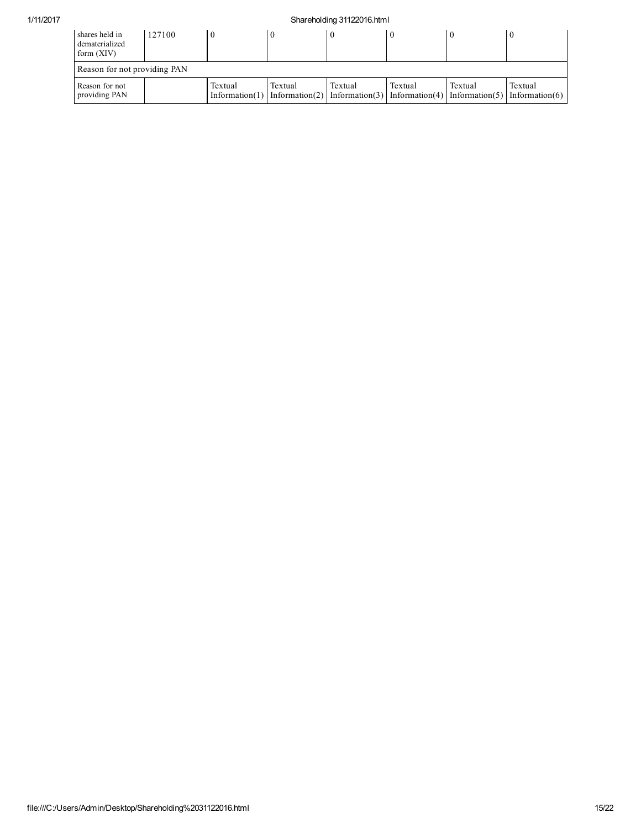## 1/11/2017 Shareholding 31122016.html

| shares held in<br>dematerialized<br>form $(XIV)$ | 127100 |         | $\theta$ |         |         |         |                                                                                                      |
|--------------------------------------------------|--------|---------|----------|---------|---------|---------|------------------------------------------------------------------------------------------------------|
| Reason for not providing PAN                     |        |         |          |         |         |         |                                                                                                      |
| Reason for not<br>providing PAN                  |        | Textual | Textual  | Textual | Textual | Textual | Textual<br>Information(1) Information(2) Information(3) Information(4) Information(5) Information(6) |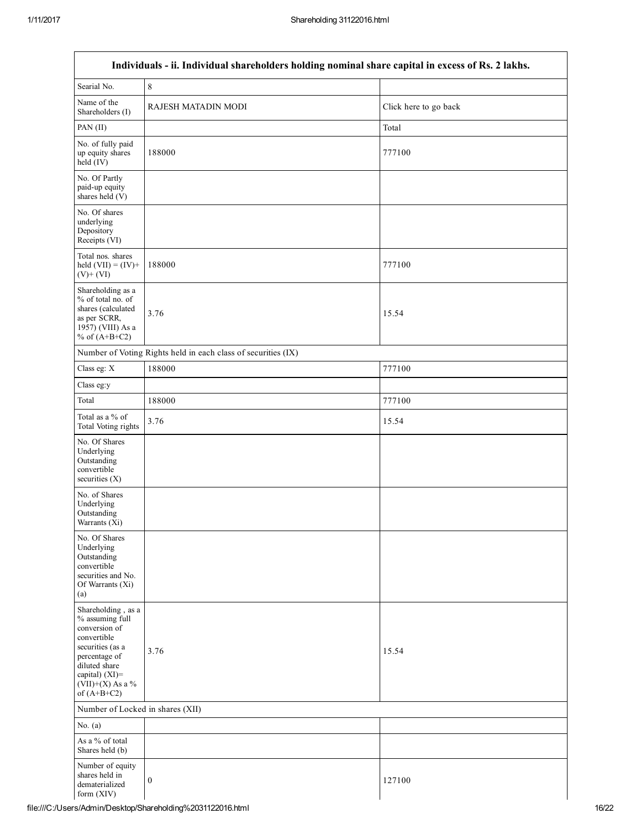Г

| Individuals - ii. Individual shareholders holding nominal share capital in excess of Rs. 2 lakhs.                                                                                    |                                                               |                       |  |  |
|--------------------------------------------------------------------------------------------------------------------------------------------------------------------------------------|---------------------------------------------------------------|-----------------------|--|--|
| Searial No.                                                                                                                                                                          | $\,$ $\,$                                                     |                       |  |  |
| Name of the<br>Shareholders (I)                                                                                                                                                      | RAJESH MATADIN MODI                                           | Click here to go back |  |  |
| PAN (II)                                                                                                                                                                             |                                                               | Total                 |  |  |
| No. of fully paid<br>up equity shares<br>$held$ (IV)                                                                                                                                 | 188000                                                        | 777100                |  |  |
| No. Of Partly<br>paid-up equity<br>shares held $(V)$                                                                                                                                 |                                                               |                       |  |  |
| No. Of shares<br>underlying<br>Depository<br>Receipts (VI)                                                                                                                           |                                                               |                       |  |  |
| Total nos. shares<br>held $(VII) = (IV) +$<br>$(V)$ + $(VI)$                                                                                                                         | 188000                                                        | 777100                |  |  |
| Shareholding as a<br>% of total no. of<br>shares (calculated<br>as per SCRR,<br>1957) (VIII) As a<br>% of $(A+B+C2)$                                                                 | 3.76                                                          | 15.54                 |  |  |
|                                                                                                                                                                                      | Number of Voting Rights held in each class of securities (IX) |                       |  |  |
| Class eg: X                                                                                                                                                                          | 188000                                                        | 777100                |  |  |
| Class eg:y                                                                                                                                                                           |                                                               |                       |  |  |
| Total                                                                                                                                                                                | 188000                                                        | 777100                |  |  |
| Total as a % of<br>Total Voting rights                                                                                                                                               | 3.76                                                          | 15.54                 |  |  |
| No. Of Shares<br>Underlying<br>Outstanding<br>convertible<br>securities $(X)$                                                                                                        |                                                               |                       |  |  |
| No. of Shares<br>Underlying<br>Outstanding<br>Warrants (Xi)                                                                                                                          |                                                               |                       |  |  |
| No. Of Shares<br>Underlying<br>Outstanding<br>convertible<br>securities and No.<br>Of Warrants (Xi)<br>(a)                                                                           |                                                               |                       |  |  |
| Shareholding, as a<br>% assuming full<br>conversion of<br>convertible<br>securities (as a<br>percentage of<br>diluted share<br>capital) (XI)=<br>$(VII)+(X)$ As a %<br>of $(A+B+C2)$ | 3.76                                                          | 15.54                 |  |  |
| Number of Locked in shares (XII)                                                                                                                                                     |                                                               |                       |  |  |
| No. $(a)$                                                                                                                                                                            |                                                               |                       |  |  |
| As a % of total<br>Shares held (b)                                                                                                                                                   |                                                               |                       |  |  |
| Number of equity<br>shares held in<br>dematerialized<br>form $(XIV)$                                                                                                                 | $\boldsymbol{0}$                                              | 127100                |  |  |

٦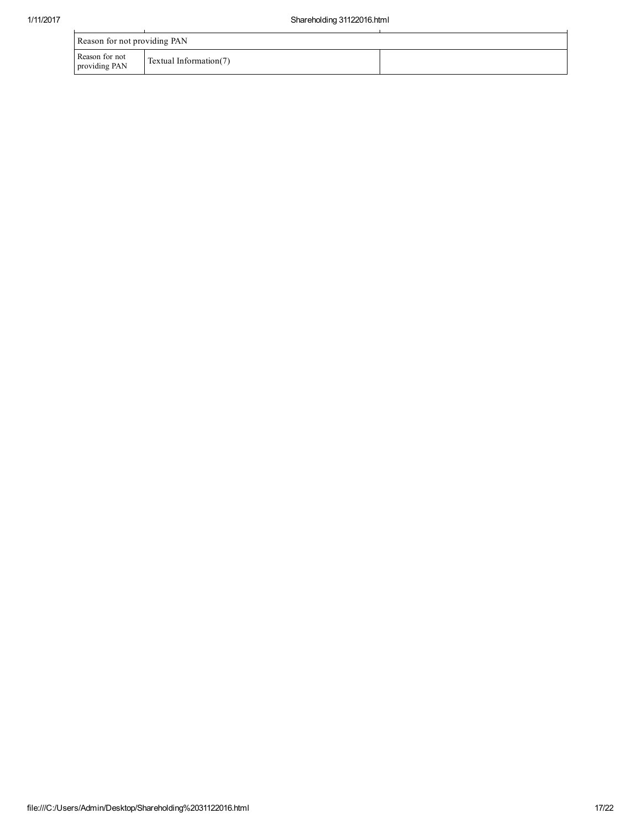| Reason for not providing PAN    |                        |  |  |
|---------------------------------|------------------------|--|--|
| Reason for not<br>providing PAN | Textual Information(7) |  |  |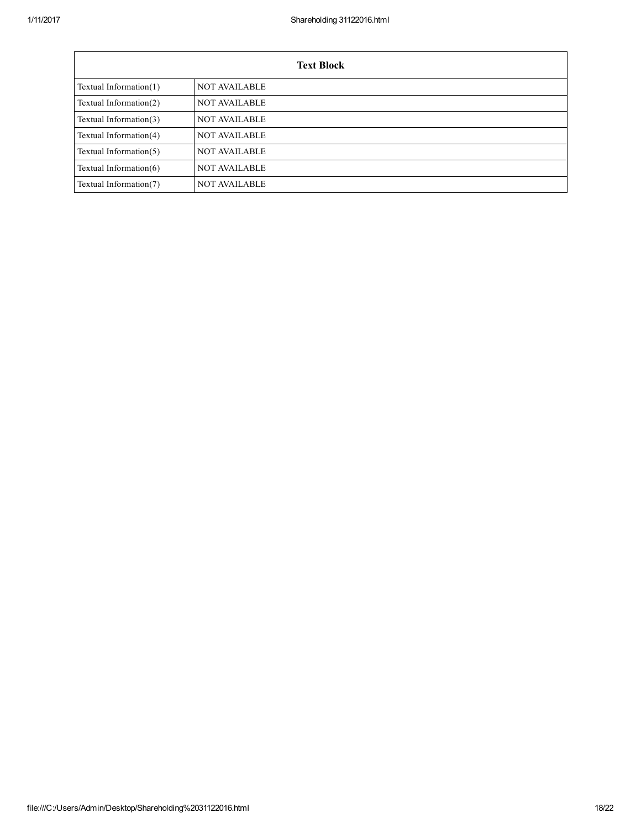| <b>Text Block</b>         |                      |  |  |  |
|---------------------------|----------------------|--|--|--|
| Textual Information $(1)$ | <b>NOT AVAILABLE</b> |  |  |  |
| Textual Information $(2)$ | <b>NOT AVAILABLE</b> |  |  |  |
| Textual Information(3)    | <b>NOT AVAILABLE</b> |  |  |  |
| Textual Information(4)    | <b>NOT AVAILABLE</b> |  |  |  |
| Textual Information $(5)$ | <b>NOT AVAILABLE</b> |  |  |  |
| Textual Information $(6)$ | <b>NOT AVAILABLE</b> |  |  |  |
| Textual Information(7)    | <b>NOT AVAILABLE</b> |  |  |  |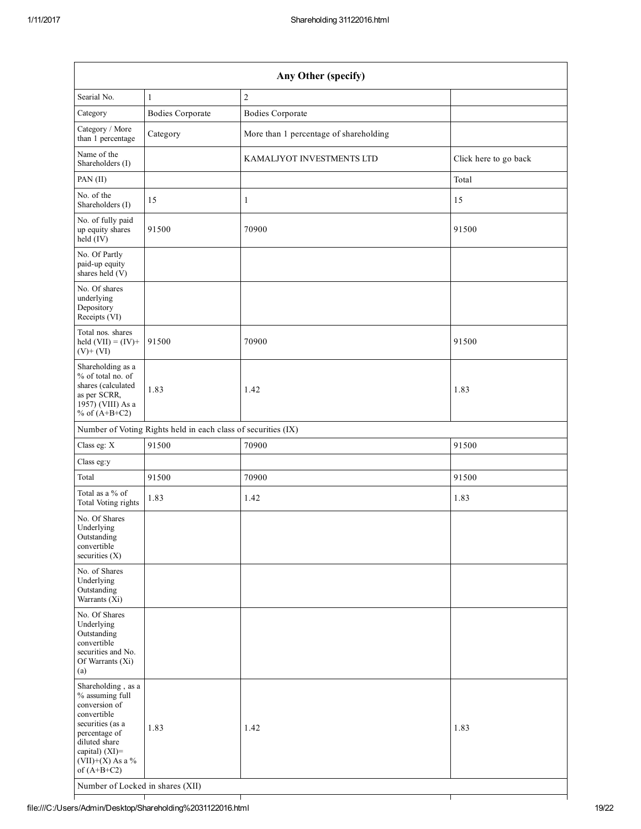| Any Other (specify)                                                                                                                                                                                                    |                                                               |                                        |                       |
|------------------------------------------------------------------------------------------------------------------------------------------------------------------------------------------------------------------------|---------------------------------------------------------------|----------------------------------------|-----------------------|
| Searial No.                                                                                                                                                                                                            | 1                                                             | $\overline{c}$                         |                       |
| Category                                                                                                                                                                                                               | <b>Bodies Corporate</b>                                       | <b>Bodies Corporate</b>                |                       |
| Category / More<br>than 1 percentage                                                                                                                                                                                   | Category                                                      | More than 1 percentage of shareholding |                       |
| Name of the<br>Shareholders (I)                                                                                                                                                                                        |                                                               | KAMALJYOT INVESTMENTS LTD              | Click here to go back |
| PAN (II)                                                                                                                                                                                                               |                                                               |                                        | Total                 |
| No. of the<br>Shareholders (I)                                                                                                                                                                                         | 15                                                            | $\mathbf{1}$                           | 15                    |
| No. of fully paid<br>up equity shares<br>$held$ (IV)                                                                                                                                                                   | 91500                                                         | 70900                                  | 91500                 |
| No. Of Partly<br>paid-up equity<br>shares held $(V)$                                                                                                                                                                   |                                                               |                                        |                       |
| No. Of shares<br>underlying<br>Depository<br>Receipts (VI)                                                                                                                                                             |                                                               |                                        |                       |
| Total nos. shares<br>held $(VII) = (IV) +$<br>$(V)+(VI)$                                                                                                                                                               | 91500                                                         | 70900                                  | 91500                 |
| Shareholding as a<br>% of total no. of<br>shares (calculated<br>as per SCRR,<br>$19\overline{57}$ ) (VIII) As a<br>% of $(A+B+C2)$                                                                                     | 1.83                                                          | 1.42                                   | 1.83                  |
|                                                                                                                                                                                                                        | Number of Voting Rights held in each class of securities (IX) |                                        |                       |
| Class eg: X                                                                                                                                                                                                            | 91500                                                         | 70900                                  | 91500                 |
| Class eg:y                                                                                                                                                                                                             |                                                               |                                        |                       |
| Total                                                                                                                                                                                                                  | 91500                                                         | 70900                                  | 91500                 |
| Total as a % of<br>Total Voting rights                                                                                                                                                                                 | 1.83                                                          | 1.42                                   | 1.83                  |
| No. Of Shares<br>Underlying<br>Outstanding<br>convertible<br>securities (X)                                                                                                                                            |                                                               |                                        |                       |
| No. of Shares<br>Underlying<br>Outstanding<br>Warrants (Xi)                                                                                                                                                            |                                                               |                                        |                       |
| No. Of Shares<br>Underlying<br>Outstanding<br>convertible<br>securities and No.<br>Of Warrants (Xi)<br>(a)                                                                                                             |                                                               |                                        |                       |
| Shareholding, as a<br>% assuming full<br>conversion of<br>convertible<br>securities (as a<br>percentage of<br>diluted share<br>capital) (XI)=<br>(VII)+(X) As a %<br>of $(A+B+C2)$<br>Number of Locked in shares (XII) | 1.83                                                          | 1.42                                   | 1.83                  |

┬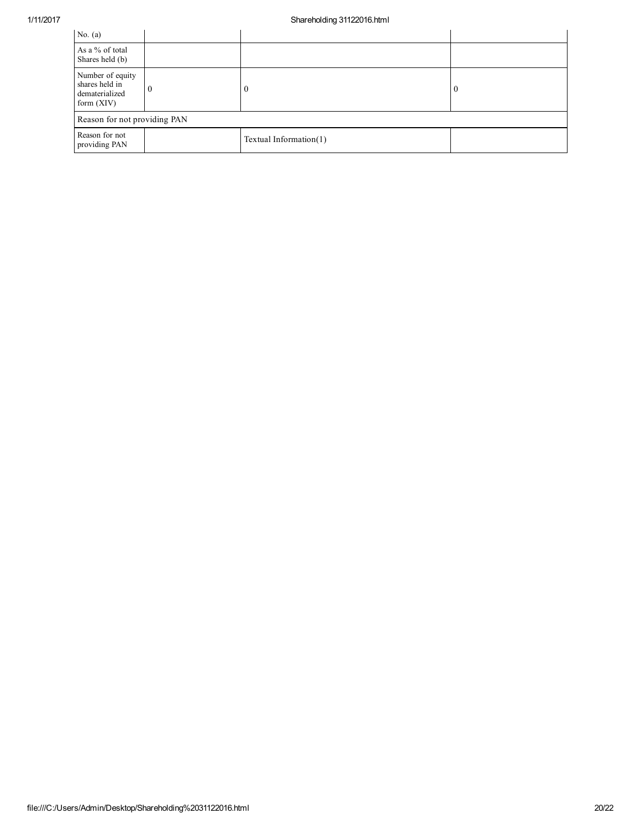| No. $(a)$                                                            |  |                           |          |
|----------------------------------------------------------------------|--|---------------------------|----------|
| As a % of total<br>Shares held (b)                                   |  |                           |          |
| Number of equity<br>shares held in<br>dematerialized<br>form $(XIV)$ |  | $\Omega$                  | $\Omega$ |
| Reason for not providing PAN                                         |  |                           |          |
| Reason for not<br>providing PAN                                      |  | Textual Information $(1)$ |          |